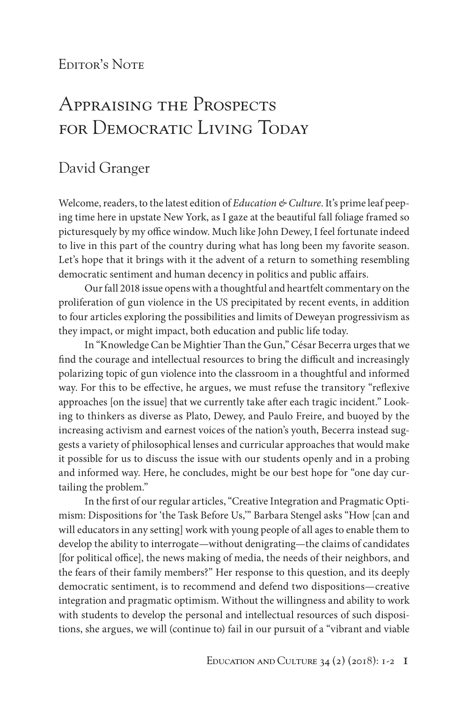## EDITOR'S NOTE

## Appraising the Prospects for Democratic Living Today

## David Granger

Welcome, readers, to the latest edition of *Education & Culture*. It's prime leaf peeping time here in upstate New York, as I gaze at the beautiful fall foliage framed so picturesquely by my office window. Much like John Dewey, I feel fortunate indeed to live in this part of the country during what has long been my favorite season. Let's hope that it brings with it the advent of a return to something resembling democratic sentiment and human decency in politics and public affairs.

Our fall 2018 issue opens with a thoughtful and heartfelt commentary on the proliferation of gun violence in the US precipitated by recent events, in addition to four articles exploring the possibilities and limits of Deweyan progressivism as they impact, or might impact, both education and public life today.

In "Knowledge Can be Mightier Than the Gun," César Becerra urges that we find the courage and intellectual resources to bring the difficult and increasingly polarizing topic of gun violence into the classroom in a thoughtful and informed way. For this to be effective, he argues, we must refuse the transitory "reflexive approaches [on the issue] that we currently take after each tragic incident." Looking to thinkers as diverse as Plato, Dewey, and Paulo Freire, and buoyed by the increasing activism and earnest voices of the nation's youth, Becerra instead suggests a variety of philosophical lenses and curricular approaches that would make it possible for us to discuss the issue with our students openly and in a probing and informed way. Here, he concludes, might be our best hope for "one day curtailing the problem."

In the first of our regular articles, "Creative Integration and Pragmatic Optimism: Dispositions for 'the Task Before Us,'" Barbara Stengel asks "How [can and will educators in any setting] work with young people of all ages to enable them to develop the ability to interrogate—without denigrating—the claims of candidates [for political office], the news making of media, the needs of their neighbors, and the fears of their family members?" Her response to this question, and its deeply democratic sentiment, is to recommend and defend two dispositions—creative integration and pragmatic optimism. Without the willingness and ability to work with students to develop the personal and intellectual resources of such dispositions, she argues, we will (continue to) fail in our pursuit of a "vibrant and viable